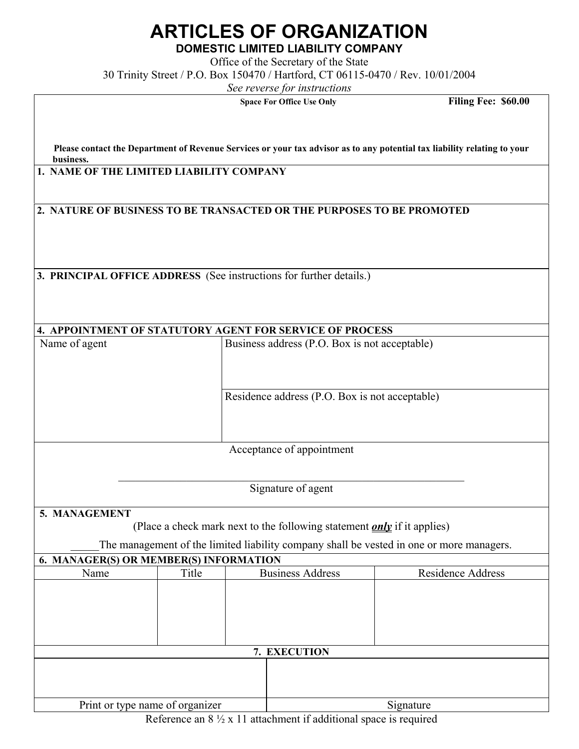## **ARTICLES OF ORGANIZATION**

**DOMESTIC LIMITED LIABILITY COMPANY**

Office of the Secretary of the State 30 Trinity Street / P.O. Box 150470 / Hartford, CT 06115-0470 / Rev. 10/01/2004

*See reverse for instructions* 

**Space For Office Use Only Filing Fee: \$60.00** 

**Please contact the Department of Revenue Services or your tax advisor as to any potential tax liability relating to your business.**

 **1. NAME OF THE LIMITED LIABILITY COMPANY** 

 $\overline{\phantom{a}}$ 

 **2. NATURE OF BUSINESS TO BE TRANSACTED OR THE PURPOSES TO BE PROMOTED** 

 **3. PRINCIPAL OFFICE ADDRESS** (See instructions for further details.)

| Name of agent                          |       | <b>4. APPOINTMENT OF STATUTORY AGENT FOR SERVICE OF PROCESS</b><br>Business address (P.O. Box is not acceptable) |                                                                                |                                                                                          |  |
|----------------------------------------|-------|------------------------------------------------------------------------------------------------------------------|--------------------------------------------------------------------------------|------------------------------------------------------------------------------------------|--|
|                                        |       |                                                                                                                  | Residence address (P.O. Box is not acceptable)                                 |                                                                                          |  |
|                                        |       |                                                                                                                  | Acceptance of appointment                                                      |                                                                                          |  |
|                                        |       |                                                                                                                  | Signature of agent                                                             |                                                                                          |  |
| 5. MANAGEMENT                          |       |                                                                                                                  | (Place a check mark next to the following statement <i>only</i> if it applies) | The management of the limited liability company shall be vested in one or more managers. |  |
| 6. MANAGER(S) OR MEMBER(S) INFORMATION |       |                                                                                                                  |                                                                                |                                                                                          |  |
| Name                                   | Title |                                                                                                                  | <b>Business Address</b>                                                        | <b>Residence Address</b>                                                                 |  |
|                                        |       |                                                                                                                  | 7. EXECUTION                                                                   |                                                                                          |  |
|                                        |       |                                                                                                                  |                                                                                |                                                                                          |  |
| Print or type name of organizer        |       |                                                                                                                  | Signature                                                                      |                                                                                          |  |

Reference an  $8\frac{1}{2}$  x 11 attachment if additional space is required